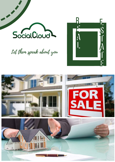

Let them speak about you



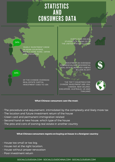# **STATISTICS** AND CONSUMERS DATA



### What Chinese consumers care the most:

- The procedure and requirement, intimidated by the complexity and likely more tax
- The location and future investment return of the house
- Green card and permanent immigration related
- Second hand or new house, which type of the house
- The pros and cons of owning real estate in another country

#### What Chinese consumers regrets on buying an house in a foreigner country:

- House too small or too big,
- House not at the right location,
- House without proper renovation
- Poor investment return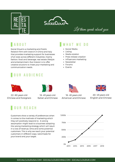



Let them speak about you

## a b o u t

Social Cloud is a marketing and Public Relation firm with branch in China and Italy that provides marketing support for businesses of all sizes across different industries, mainly fashion, food and beverage, real estate lifestyle and entertainment. Our mission is to offer creative solutions to meet your marketing and communication needs.

## OUR AUDIENCE

### WHAT WE DO

- Social Media
- Listing
- Media relation
- Press release creation
- Influencers marketing
- Newsletter
- Forums
- Events



22- 60 years old Chinese and foreigners



18- 45 years old Italian and Chinese



18- 45 years old American and Chinese

20- 45 years old English and Chinese

### OUR REACH

Customers show a variety of preferences when it comes to the methods of marketing which they will positively respond to. A wrong assumption might lead to a business adopting the wrong marketing strategy which will result in a loss of revenue, time and some potential customers. This is why we reach your potential customers in different ways, tailormade for your brand and your target.

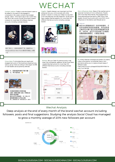Content creation. Today's customer doesn't want to be talked to; he wants to be engaged in conversation. We create contents that engage people, videos, information about the current law, visa, life in the country. Social Cloud have created contents for more than 100 different Wechat accounts, including overseas brands



看多了高大上、十豪风的房地产广告,插画师Tom Haugomat为South Bank Tower做的系列海报让人眼前 一言

Group share. To stimulate the post reach and engagement posts of the brand are shared among various group-chats according to the target. 34.09%

> hi、目前泰国有套房子感兴趣 么、转介绍也成、心

所谓是荣居繁华 尊享清幽

屋海景别墅正式开始出售

悄然开始沸腾

-期佳設 第

当第一缕阳光撒入窗口 幸福生活

普吉岛巴东海滩独一无二的小木

→ 甘日氏利干口 项左

of total readers are acquired by referrals

# $\overline{\phantom{a}}$ CHA

Graphic. Graphic design is an important tool that enhances how you communicate with other people. It serves to convey your ideas in a way that is not only effective, but also beautiful. Social Cloud have created Wechat graphics for more than 100 different Wechat accounts, including overseas brands



Buttons. Set up of tabs for previous posts, map, insert the miniwebsite, galleries. Social Cloud have created Wechat buttons for more than 100 different Wechat accounts, including overseas brands

 $S_{rad}$  To LUNCH ROLL COMIN 联系我们 索单 ∤ա tibtil 照片  $\overline{\mathbf{u}\mathbf{u}}$ 菜单 关于我们

Micro-influencers share. Share of the wechat post in personal moments of micro-influencers. People with more than 1500 friends. The engagement is more personal and the result is 38% more of the readers. Social Cloud works with more 1000 microinfluencers in the fashion and lifestyle sector





Check http://r.xiumi.us/stage/v5/30jIR/50747924 for one of our sample



### Wechat Analysis.

Deep analysis at the end of every month of the brand wechat account including followers, posts and final suggestions. Studying the analysis Social Cloud has managed to grow a monthly average of 20% new followers per account

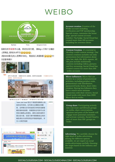# WEIBO



區是位於芭堤雅中心區, 附近生活方便, 跟Big c 只有十分鐘步 人民幣起, 就有25.8平方<mark>8.8.8.8.8.8</mark>。

次迎查询哦!!!





发布了头条文章: 《美国10大华人喜爱城, 买房可以选这里》 曰 美国10大华人

"baan plai haad"是位于泰国芭堤雅核心地 段的住宅项目。住宅单元主要朝北和朝 西、这样朝北住宅的起居空间和卧室都能 看到海岸线美景;而朝西的住宅则可以欣 赏到日暮西山的景色。建筑元素的使用方 面比较大胆、但是方案中微微散发出来的 暖色调也与自然和周边环境相得益彰。详 文>>O网页链接



**Account creation.** Creation of the Weibo account including verification and VIP membership. Special crown, customize the home page, special custom account number, Vip badge. Social Cloud has created more than 100 accounts including for overseas clients

**Content Creation.** it's essential to develop a solid content strategy. Our content creations includes not only promotions but information about visa, law, daily life, KOL reposts. All the post include multimedia contents including videos, pictures and live streaming. Social Cloud has created content for more than 100 weibo accounts

**Micro-influencer.** Micro-Kol can involve in a variety of promotional activities, including product trials, promotional code distribution, sponsored lucky draws, short video creation. Having less followers they have a much more intimate connection with their viewers. Social Cloud works with more than 1000 Micro-Kol on weibo

**Group share.** Participating actively into real estate and lifestyle groups on weibo, share conversations, opinions and posts of the brands will engage more potential customers and activate curiosity. Social Cloud is part of more than 100 groups on weibo

**Advertising.** We carefully choose the right kind of weibo advertising among the different options available, we are expert on social media advertising carefully choosing the target based on the industry and interests

#### SOCIALCLOUDUSA.COM - SOCIALCLOUDCHINA.COM - SOCIALCLOUDUK.COM

 $\sim$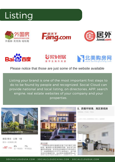













### Please notice that those are just some of the website available

Listing your brand is one of the most important first steps to do to be found by people and recognized. Social Cloud can provide national and local listing, on directories, APP, search engine, real estate websites of your company and your properties.



泰国普吉 | 公寓 | 1居 普吉一线海景公寓





项目介绍 支国际知名的专家团队打造了这个吸引力的 胜地。敏西斯山有着高雅的风格、富有灵气的; 所有的这些都配有个性化的五 块面积将近五百万平方米的地方, 这个度 外桃源生活。由世界知名建筑师Woods1 器, 西看环球港, 高区景观房 这意观思,不治世,不把边

> 武宁二手房 > 新湖明珠城二手房 > 当前房源



#### SOCIAL CLOUDUSA.COM - SOCIALCI OUDCHINA.COM - SOCIALCI OUDUK.COM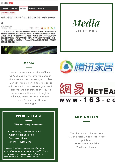#### 鳳凰網房产

海外资讯 海外房产 海外项目

品牌展示 海外移民

海外房产首页 > 有路专区

有路全球地产互联网峰会成功举办 汇聚全球22国数百家开发

#### 商

2018年01月30日 15:58 来源: 凤凰房产海外

o评论

2018年1月29日, 有路首届全球地产互联网峰会 (GREIS) 暨有路品牌和平 台升级发布会于北京万达文华酒店成功举办。本次峰会共汇聚全球22国数百家 开发商,中东第一大开发商Emaar、美国第一大住宅开发商Lennar在内的全球 顶级开发商均派出代表参与本次峰会。同时,本次峰会获得华尔街日报、美通 社、《曼谷邮报》、《路透社》、Financial Times等知名媒体报道, 聚焦全球 百家重量级媒体影响力。

0人参与



# *Media*

**RELATIONS** 

MEDIA

We cooperate with media in China, USA, UK and Italy to give the company the maximum press coverage possible. Our coverage is not limited to local or national media but also foreigner media present in the country of choice. We cooperate with media of English, Chinese, Italian, Korean, Japanese, French, Arabian and German languages.



# **NETEAS**  $v - 163 c$

### PRESS RELEASE

Why are they important:

Announcing a new apartment Improving brand image Viral possibilities Get more customers

A professional press release can change the perception of a brand and the possibility to be published. Social Cloud has created more than 500 press releases for companies

### MEDIA STATS

9 Millions+ Media impressions 97% of Social Cloud press release published 2000+ Media available 2 Million+ PR value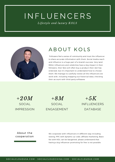# I N F L U E N C E R S

*Lif e styl e and luxury KOLS*



# A BOUT KOLS

Followers feel a sense of community and trust the influencer to share accurate information with them. Social media reach and influence is a huge part of a brand's success. Very (and REAL) influencers and celebrities have a big impact in their followers, their fans will often buy a product their idol has endorsed, but it's important to understand how to choose them. We manage to carefully review all the influencers we work with, including mapping out historical data, checking their account with third party softwares

*+20M* **SOCIAL** IMPRESSION

*+8M +5K* **SOCIAL** ENGAGEMENT

INFLUENCERS **DATABASE** 

About the cooperation

We cooperate with influencers in different way including testing, PPC with dynamic qr code, affiliate marketing. Basic fee with KOL can be bargained, please understand that having a big influencer promoting for free is not possible.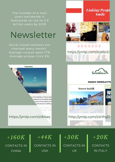The number of e-mail users worldwide is forecasted to rise to 2.9 billion users by 2019

# Newsletter

Social Cloud contacts are checked every month. Average unique open 17% Average unique click 8%

> of the Mainland, China's fashi explored by the global desig sense of this colorful and into the art of clothing

> > 化吸引了全球时尚人士 当背后故事,向您用

82%

## **Linking Peopl Smile**



# https://ymlp.com/zqKbrD

۸



#### **MARCH NEWSLETTE**

Sharrow Bay别墅



*+160K* CONTACTS IN CHINA

*+44K*

CONTACTS IN USA

*+30K* CONTACTS IN UK

*+20K* **CONTACTS** IN ITALY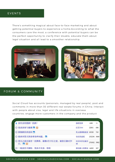### **EVENTS**

There's something magical about face-to-face marketing and about getting potential buyers to experience a home.According to what the consumers care the most, a conference with potential buyers can be the perfect opportunity to clarify their doubts, educate them about legal situation and all lead to a smoother relationship.





### FORUM & COMMUNITY

Social Cloud has accounts (personals, managed by real people), post and comments in more than 30 different real estate forums in China. Interact with people about visa, legal and life situations in overseas countries, engage more customers in the company and the product

| 房价真的能跌? 抗跌?                               | 咖啡初茶           | 1486        | 11  |
|-------------------------------------------|----------------|-------------|-----|
| → 浅谈房屋与健康 图                               | 红艺3344         | 22001       | 696 |
| → 滨海新区欢迎你 ■                               | 乳山银滩海景房 26320  |             | 743 |
| ⊝ 我来回答天津房事各种问题。 ■                         | 快乐的麦纸          | 232236 3600 |     |
| ⊙ 周五之前应该有一次降准, 最晚4月15日之前, 最佳日期4月9<br>日、内息 | 80后60岁走遍全<br>球 | 276362 3902 |     |
| → 一线房价不腰斩, 坚决不买房, 哈哈                      | 移民路上的群众 14083  |             | 207 |